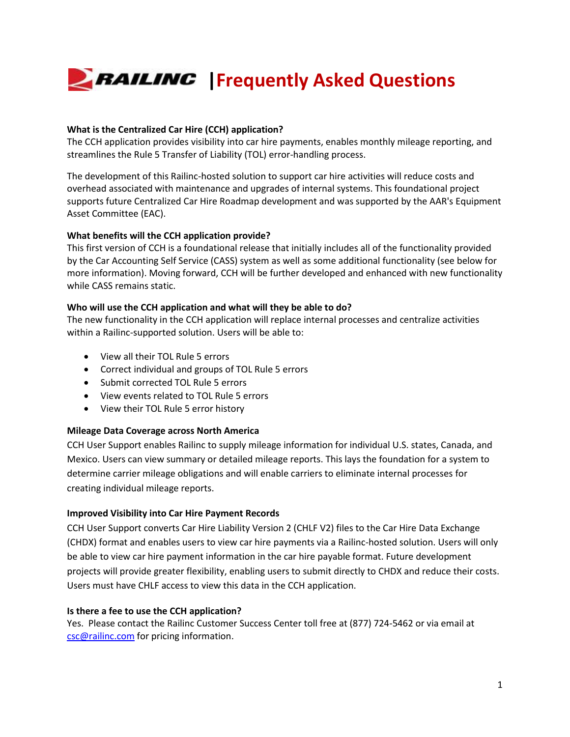# **FRAILING** | Frequently Asked Questions

# **What is the Centralized Car Hire (CCH) application?**

The CCH application provides visibility into car hire payments, enables monthly mileage reporting, and streamlines the Rule 5 Transfer of Liability (TOL) error-handling process.

The development of this Railinc-hosted solution to support car hire activities will reduce costs and overhead associated with maintenance and upgrades of internal systems. This foundational project supports future Centralized Car Hire Roadmap development and was supported by the AAR's Equipment Asset Committee (EAC).

# **What benefits will the CCH application provide?**

This first version of CCH is a foundational release that initially includes all of the functionality provided by the Car Accounting Self Service (CASS) system as well as some additional functionality (see below for more information). Moving forward, CCH will be further developed and enhanced with new functionality while CASS remains static.

#### **Who will use the CCH application and what will they be able to do?**

The new functionality in the CCH application will replace internal processes and centralize activities within a Railinc-supported solution. Users will be able to:

- View all their TOL Rule 5 errors
- Correct individual and groups of TOL Rule 5 errors
- Submit corrected TOL Rule 5 errors
- View events related to TOL Rule 5 errors
- View their TOL Rule 5 error history

#### **Mileage Data Coverage across North America**

CCH User Support enables Railinc to supply mileage information for individual U.S. states, Canada, and Mexico. Users can view summary or detailed mileage reports. This lays the foundation for a system to determine carrier mileage obligations and will enable carriers to eliminate internal processes for creating individual mileage reports.

#### **Improved Visibility into Car Hire Payment Records**

CCH User Support converts Car Hire Liability Version 2 (CHLF V2) files to the Car Hire Data Exchange (CHDX) format and enables users to view car hire payments via a Railinc-hosted solution. Users will only be able to view car hire payment information in the car hire payable format. Future development projects will provide greater flexibility, enabling users to submit directly to CHDX and reduce their costs. Users must have CHLF access to view this data in the CCH application.

#### **Is there a fee to use the CCH application?**

Yes. Please contact the Railinc Customer Success Center toll free at (877) 724-5462 or via email at [csc@railinc.com](mailto:csc@railinc.com) for pricing information.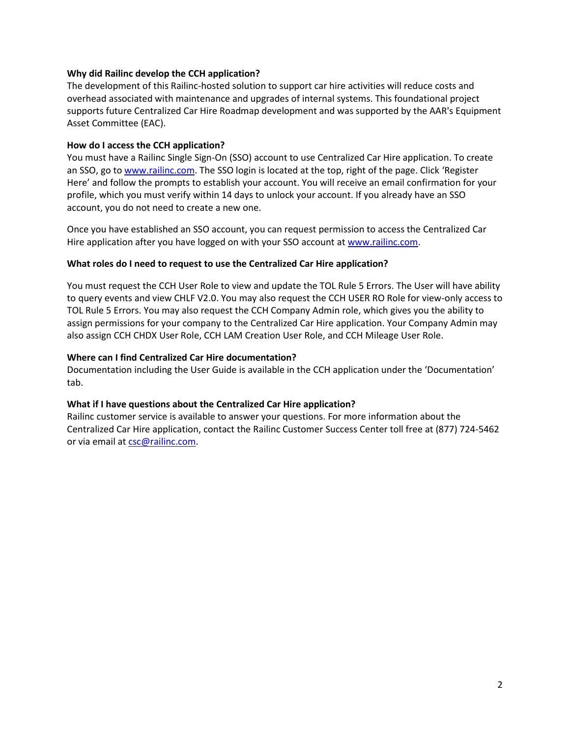#### **Why did Railinc develop the CCH application?**

The development of this Railinc-hosted solution to support car hire activities will reduce costs and overhead associated with maintenance and upgrades of internal systems. This foundational project supports future Centralized Car Hire Roadmap development and was supported by the AAR's Equipment Asset Committee (EAC).

#### **How do I access the CCH application?**

You must have a Railinc Single Sign-On (SSO) account to use Centralized Car Hire application. To create an SSO, go t[o www.railinc.com.](file:///C:/Users/bscxr01/Desktop/www.railinc.com) The SSO login is located at the top, right of the page. Click 'Register Here' and follow the prompts to establish your account. You will receive an email confirmation for your profile, which you must verify within 14 days to unlock your account. If you already have an SSO account, you do not need to create a new one.

Once you have established an SSO account, you can request permission to access the Centralized Car Hire application after you have logged on with your SSO account a[t www.railinc.com.](file:///C:/Users/bscxr01/Desktop/www.railinc.com)

#### **What roles do I need to request to use the Centralized Car Hire application?**

You must request the CCH User Role to view and update the TOL Rule 5 Errors. The User will have ability to query events and view CHLF V2.0. You may also request the CCH USER RO Role for view-only access to TOL Rule 5 Errors. You may also request the CCH Company Admin role, which gives you the ability to assign permissions for your company to the Centralized Car Hire application. Your Company Admin may also assign CCH CHDX User Role, CCH LAM Creation User Role, and CCH Mileage User Role.

#### **Where can I find Centralized Car Hire documentation?**

Documentation including the User Guide is available in the CCH application under the 'Documentation' tab.

#### **What if I have questions about the Centralized Car Hire application?**

Railinc customer service is available to answer your questions. For more information about the Centralized Car Hire application, contact the Railinc Customer Success Center toll free at (877) 724-5462 or via email at [csc@railinc.com.](mailto:csc@railinc.com)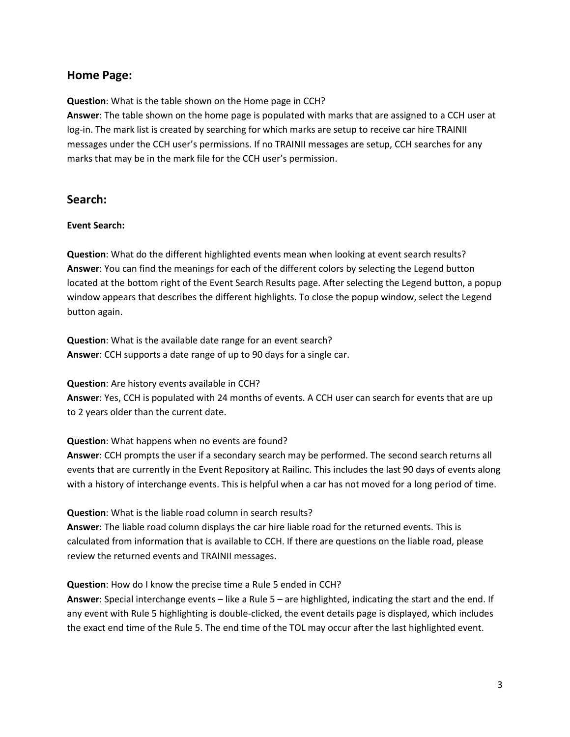# **Home Page:**

**Question**: What is the table shown on the Home page in CCH?

**Answer**: The table shown on the home page is populated with marks that are assigned to a CCH user at log-in. The mark list is created by searching for which marks are setup to receive car hire TRAINII messages under the CCH user's permissions. If no TRAINII messages are setup, CCH searches for any marks that may be in the mark file for the CCH user's permission.

# **Search:**

# **Event Search:**

**Question**: What do the different highlighted events mean when looking at event search results? **Answer**: You can find the meanings for each of the different colors by selecting the Legend button located at the bottom right of the Event Search Results page. After selecting the Legend button, a popup window appears that describes the different highlights. To close the popup window, select the Legend button again.

**Question**: What is the available date range for an event search? **Answer**: CCH supports a date range of up to 90 days for a single car.

**Question**: Are history events available in CCH?

**Answer**: Yes, CCH is populated with 24 months of events. A CCH user can search for events that are up to 2 years older than the current date.

#### **Question**: What happens when no events are found?

**Answer**: CCH prompts the user if a secondary search may be performed. The second search returns all events that are currently in the Event Repository at Railinc. This includes the last 90 days of events along with a history of interchange events. This is helpful when a car has not moved for a long period of time.

**Question**: What is the liable road column in search results?

**Answer**: The liable road column displays the car hire liable road for the returned events. This is calculated from information that is available to CCH. If there are questions on the liable road, please review the returned events and TRAINII messages.

**Question**: How do I know the precise time a Rule 5 ended in CCH?

**Answer**: Special interchange events – like a Rule 5 – are highlighted, indicating the start and the end. If any event with Rule 5 highlighting is double-clicked, the event details page is displayed, which includes the exact end time of the Rule 5. The end time of the TOL may occur after the last highlighted event.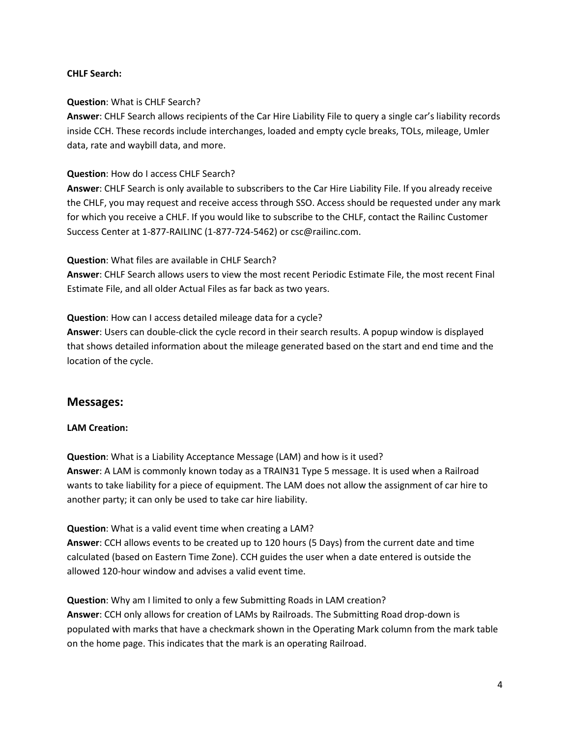#### **CHLF Search:**

# **Question**: What is CHLF Search?

**Answer**: CHLF Search allows recipients of the Car Hire Liability File to query a single car's liability records inside CCH. These records include interchanges, loaded and empty cycle breaks, TOLs, mileage, Umler data, rate and waybill data, and more.

# **Question**: How do I access CHLF Search?

**Answer**: CHLF Search is only available to subscribers to the Car Hire Liability File. If you already receive the CHLF, you may request and receive access through SSO. Access should be requested under any mark for which you receive a CHLF. If you would like to subscribe to the CHLF, contact the Railinc Customer Success Center at 1-877-RAILINC (1-877-724-5462) or csc@railinc.com.

# **Question**: What files are available in CHLF Search?

**Answer**: CHLF Search allows users to view the most recent Periodic Estimate File, the most recent Final Estimate File, and all older Actual Files as far back as two years.

# **Question**: How can I access detailed mileage data for a cycle?

**Answer**: Users can double-click the cycle record in their search results. A popup window is displayed that shows detailed information about the mileage generated based on the start and end time and the location of the cycle.

# **Messages:**

#### **LAM Creation:**

**Question**: What is a Liability Acceptance Message (LAM) and how is it used? **Answer**: A LAM is commonly known today as a TRAIN31 Type 5 message. It is used when a Railroad wants to take liability for a piece of equipment. The LAM does not allow the assignment of car hire to another party; it can only be used to take car hire liability.

# **Question**: What is a valid event time when creating a LAM?

**Answer**: CCH allows events to be created up to 120 hours (5 Days) from the current date and time calculated (based on Eastern Time Zone). CCH guides the user when a date entered is outside the allowed 120-hour window and advises a valid event time.

**Question**: Why am I limited to only a few Submitting Roads in LAM creation? **Answer**: CCH only allows for creation of LAMs by Railroads. The Submitting Road drop-down is populated with marks that have a checkmark shown in the Operating Mark column from the mark table on the home page. This indicates that the mark is an operating Railroad.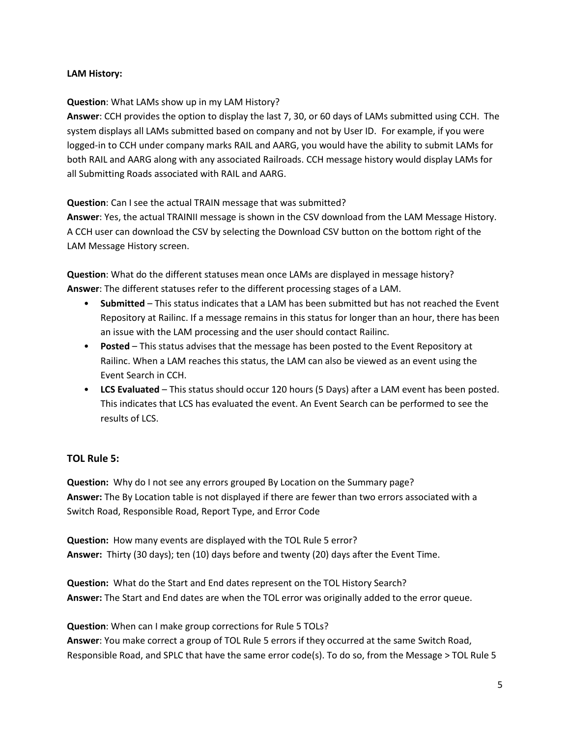# **LAM History:**

#### **Question**: What LAMs show up in my LAM History?

**Answer**: CCH provides the option to display the last 7, 30, or 60 days of LAMs submitted using CCH. The system displays all LAMs submitted based on company and not by User ID. For example, if you were logged-in to CCH under company marks RAIL and AARG, you would have the ability to submit LAMs for both RAIL and AARG along with any associated Railroads. CCH message history would display LAMs for all Submitting Roads associated with RAIL and AARG.

**Question**: Can I see the actual TRAIN message that was submitted?

**Answer**: Yes, the actual TRAINII message is shown in the CSV download from the LAM Message History. A CCH user can download the CSV by selecting the Download CSV button on the bottom right of the LAM Message History screen.

**Question**: What do the different statuses mean once LAMs are displayed in message history? **Answer**: The different statuses refer to the different processing stages of a LAM.

- **Submitted** This status indicates that a LAM has been submitted but has not reached the Event Repository at Railinc. If a message remains in this status for longer than an hour, there has been an issue with the LAM processing and the user should contact Railinc.
- **Posted** This status advises that the message has been posted to the Event Repository at Railinc. When a LAM reaches this status, the LAM can also be viewed as an event using the Event Search in CCH.
- **LCS Evaluated** This status should occur 120 hours (5 Days) after a LAM event has been posted. This indicates that LCS has evaluated the event. An Event Search can be performed to see the results of LCS.

# **TOL Rule 5:**

**Question:** Why do I not see any errors grouped By Location on the Summary page? **Answer:** The By Location table is not displayed if there are fewer than two errors associated with a Switch Road, Responsible Road, Report Type, and Error Code

**Question:** How many events are displayed with the TOL Rule 5 error? **Answer:** Thirty (30 days); ten (10) days before and twenty (20) days after the Event Time.

**Question:** What do the Start and End dates represent on the TOL History Search? **Answer:** The Start and End dates are when the TOL error was originally added to the error queue.

**Question**: When can I make group corrections for Rule 5 TOLs?

**Answer**: You make correct a group of TOL Rule 5 errors if they occurred at the same Switch Road, Responsible Road, and SPLC that have the same error code(s). To do so, from the Message > TOL Rule 5